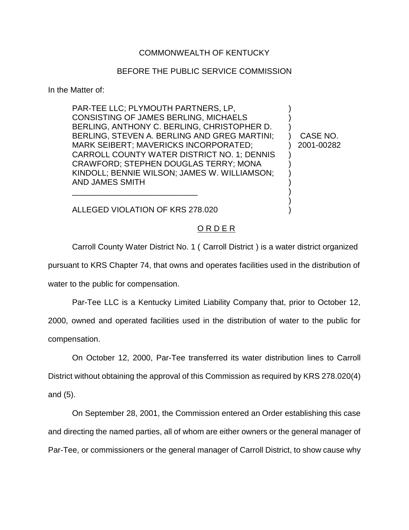## COMMONWEALTH OF KENTUCKY

## BEFORE THE PUBLIC SERVICE COMMISSION

In the Matter of:

PAR-TEE LLC; PLYMOUTH PARTNERS, LP, CONSISTING OF JAMES BERLING, MICHAELS ) BERLING, ANTHONY C. BERLING, CHRISTOPHER D. BERLING, STEVEN A. BERLING AND GREG MARTINI; ) CASE NO. MARK SEIBERT; MAVERICKS INCORPORATED;  $\qquad \qquad$  2001-00282 CARROLL COUNTY WATER DISTRICT NO. 1; DENNIS CRAWFORD; STEPHEN DOUGLAS TERRY; MONA ) KINDOLL; BENNIE WILSON; JAMES W. WILLIAMSON; ) AND JAMES SMITH ) \_\_\_\_\_\_\_\_\_\_\_\_\_\_\_\_\_\_\_\_\_\_\_\_\_\_\_\_ )

ALLEGED VIOLATION OF KRS 278.020 )

# O R D E R

)

Carroll County Water District No. 1 ( Carroll District ) is a water district organized

pursuant to KRS Chapter 74, that owns and operates facilities used in the distribution of

water to the public for compensation.

Par-Tee LLC is a Kentucky Limited Liability Company that, prior to October 12,

2000, owned and operated facilities used in the distribution of water to the public for compensation.

On October 12, 2000, Par-Tee transferred its water distribution lines to Carroll District without obtaining the approval of this Commission as required by KRS 278.020(4) and (5).

On September 28, 2001, the Commission entered an Order establishing this case and directing the named parties, all of whom are either owners or the general manager of Par-Tee, or commissioners or the general manager of Carroll District, to show cause why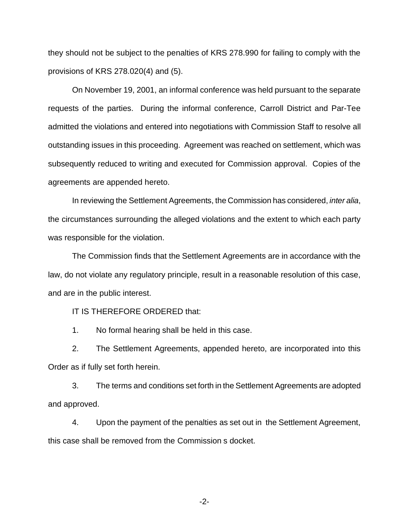they should not be subject to the penalties of KRS 278.990 for failing to comply with the provisions of KRS 278.020(4) and (5).

On November 19, 2001, an informal conference was held pursuant to the separate requests of the parties. During the informal conference, Carroll District and Par-Tee admitted the violations and entered into negotiations with Commission Staff to resolve all outstanding issues in this proceeding. Agreement was reached on settlement, which was subsequently reduced to writing and executed for Commission approval. Copies of the agreements are appended hereto.

In reviewing the Settlement Agreements, the Commission has considered, *inter alia*, the circumstances surrounding the alleged violations and the extent to which each party was responsible for the violation.

The Commission finds that the Settlement Agreements are in accordance with the law, do not violate any regulatory principle, result in a reasonable resolution of this case, and are in the public interest.

IT IS THEREFORE ORDERED that:

1. No formal hearing shall be held in this case.

2. The Settlement Agreements, appended hereto, are incorporated into this Order as if fully set forth herein.

3. The terms and conditions set forth in the Settlement Agreements are adopted and approved.

4. Upon the payment of the penalties as set out in the Settlement Agreement, this case shall be removed from the Commission s docket.

-2-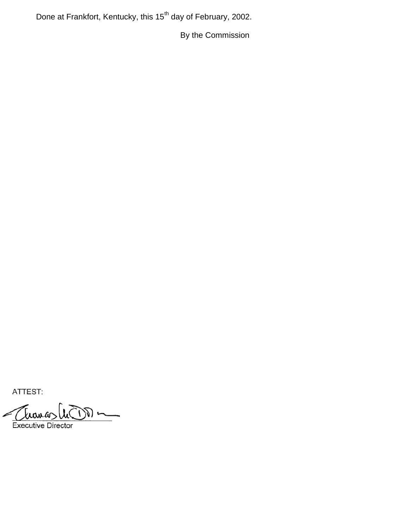Done at Frankfort, Kentucky, this 15<sup>th</sup> day of February, 2002.

By the Commission

ATTEST:

∟ (

**Executive Director**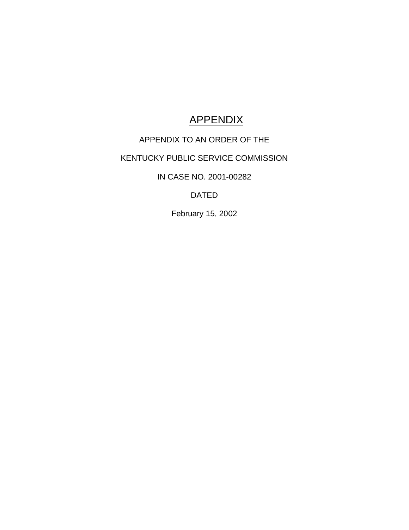# **APPENDIX**

# APPENDIX TO AN ORDER OF THE

# KENTUCKY PUBLIC SERVICE COMMISSION

IN CASE NO. 2001-00282

DATED

February 15, 2002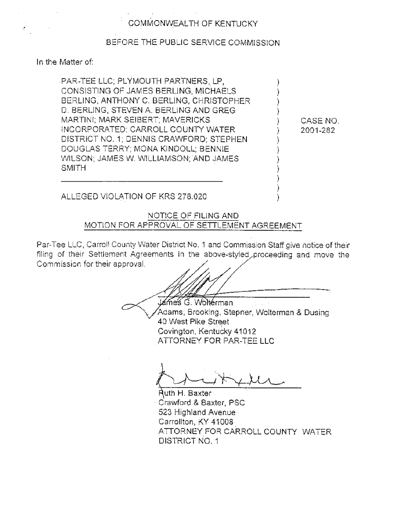## BEFORE THE PUBLIC SERVICE COMMISSION

In the Matter of:

PAR-TEE LLC; PLYMOUTH PARTNERS, LP, CONSISTING OF JAMES BERLING, MICHAELS BERLING, ANTHONY C. BERLING, CHRISTOPHER D. BERLING, STEVEN A. BERLING AND GREG MARTINI; MARK SEIBERT; MAVERICKS INCORPORATED; CARROLL COUNTY WATER DISTRICT NO. 1; DENNIS CRAWFORD; STEPHEN DOUGLAS TERRY; MONA KINDOLL; BENNIE WILSON; JAMES W. WILLIAMSON; AND JAMES SMITH

CASE NO. 2001-282

ALLEGED VIOLATION OF KRS 278.020

NOTICE OF FILING AND MOTION FOR APPROVAL OF SETTLEMENT AGREEMENT

Par-Tee LLC, Carroll County Water District No. 1 and Commission Staff give notice of their filing of their Settlement Agreements in the above-styled proceeding and move the Commission for their approval.

James G. Wolterman Adams; Brooking, Stepner, Wolterman & Dusing 40 West Pike Street Covington, Kentucky 41012 ATTORNEY FOR PAR-TEE LLC

Ruth H. Baxter Crawford & Baxter, PSC 523 Highland Avenue Carrollton, KY 41008 ATTORNEY FOR CARROLL COUNTY WATER DISTRICT NO. 1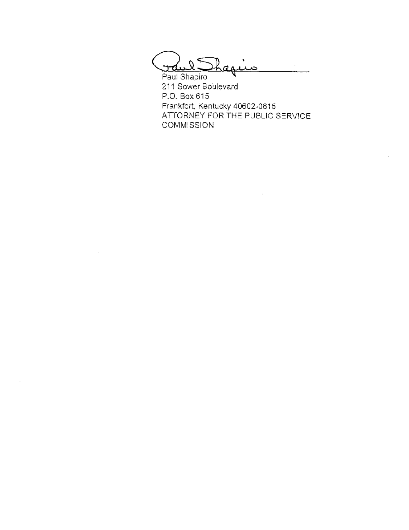raul Shaqiis

Paul Shapiro 211 Sower Boulevard P.O. Box 615 Frankfort, Kentucky 40602-0615 ATTORNEY FOR THE PUBLIC SERVICE **COMMISSION** 

 $\sim$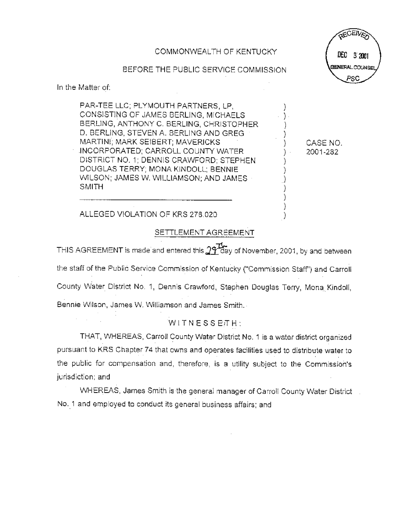COMMONWEALTH OF KENTUCKY

#### BEFORE THE PUBLIC SERVICE COMMISSION

In the Matter of:

PAR-TEE LLC; PLYMOUTH PARTNERS, LP. CONSISTING OF JAMES BERLING, MICHAELS BERLING, ANTHONY C. BERLING, CHRISTOPHER D. BERLING, STEVEN A. BERLING AND GREG MARTINI; MARK SEIBERT; MAVERICKS INCORPORATED; CARROLL COUNTY WATER DISTRICT NO. 1; DENNIS CRAWFORD; STEPHEN DOUGLAS TERRY; MONA KINDOLL; BENNIE WILSON; JAMES W. WILLIAMSON; AND JAMES **SMITH** 

CASE NO. 2001-282

#### ALLEGED VIOLATION OF KRS 278.020

#### SETTLEMENT AGREEMENT

THIS AGREEMENT is made and entered this  $29T$  day of November, 2001, by and between the staff of the Public Service Commission of Kentucky ("Commission Staff") and Carroll County Water District No. 1, Dennis Crawford, Stephen Douglas Terry, Mona Kindoll, Bennie Wilson, James W. Williamson and James Smith.

#### WITNESSETH:

THAT, WHEREAS, Carroll County Water District No. 1 is a water district organized pursuant to KRS Chapter 74 that owns and operates facilities used to distribute water to the public for compensation and, therefore, is a utility subject to the Commission's jurisdiction; and

WHEREAS, James Smith is the general manager of Carroll County Water District No. 1 and employed to conduct its general business affairs; and

**FCEIV** DEC 3.2001 **BENERAL COUNSE**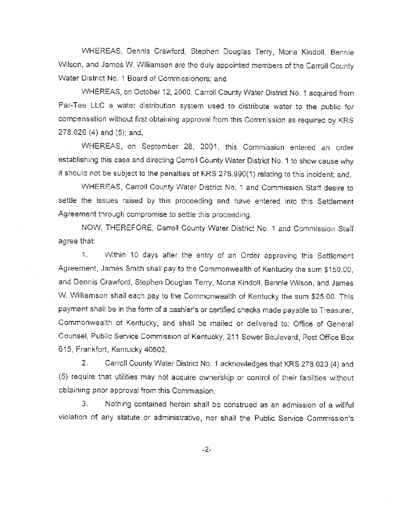WHEREAS, Dennis Crawford, Stephen Douglas Terry, Mona Kindoll, Bennie Wilson, and James W. Williamson are the duly appointed members of the Carroll County Water District No. 1 Board of Commissioners; and

WHEREAS, on October 12, 2000, Carroll County Water District No. 1 acquired from Par-Tee LLC a water distribution system used to distribute water to the public for compensation without first obtaining approval from this Commission as required by KRS 278.020 (4) and (5); and,

WHEREAS, on September 28, 2001, this Commission entered an order establishing this case and directing Carroll County Water District No. 1 to show cause why it should not be subject to the penalties of KRS 278.990(1) relating to this incident; and,

WHEREAS, Carroll County Water District No. 1 and Commission Staff desire to settle the issues raised by this proceeding and have entered into this Settlement Agreement through compromise to settle this proceeding.

NOW, THEREFORE, Carroll County Water District No. 1 and Commission Staff agree that:

1. Within 10 days after the entry of an Order approving this Settlement Agreement, James Smith shall pay to the Commonwealth of Kentucky the sum \$150.00. and Dennis Crawford, Stephen Douglas Terry, Mona Kindoll, Bennie Wilson, and James W. Williamson shall each pay to the Commonwealth of Kentucky the sum \$25.00. This payment shall be in the form of a cashier's or certified checks made payable to Treasurer, Commonwealth of Kentucky, and shall be mailed or delivered to: Office of General Counsel, Public Service Commission of Kentucky, 211 Sower Boulevard, Post Office Box 615, Frankfort, Kentucky 40602.

Carroll County Water District No. 1 acknowledges that KRS 278.020 (4) and 2. (5) require that utilities may not acquire ownership or control of their facilities without obtaining prior approval from this Commission.

Nothing contained herein shall be construed as an admission of a willful 3. violation of any statute or administrative, nor shall the Public Service Commission's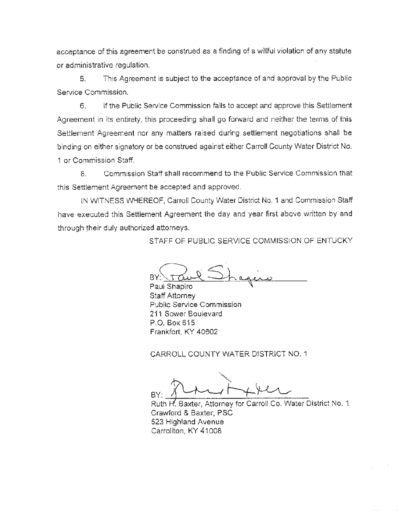acceptance of this agreement be construed as a finding of a willful violation of any statute or administrative regulation.

This Agreement is subject to the acceptance of and approval by the Public 5. Service Commission.

6. If the Public Service Commission fails to accept and approve this Settlement Agreement in its entirety, this proceeding shall go forward and neither the terms of this Settlement Agreement nor any matters raised during settlement negotiations shall be binding on either signatory or be construed against either Carroll County Water District No. 1 or Commission Staff.

Commission Staff shall recommend to the Public Service Commission that 8. this Settlement Agreement be accepted and approved.

IN WITNESS WHEREOF, Carroll County Water District No. 1 and Commission Staff have executed this Settlement Agreement the day and year first above written by and through their duly authorized attorneys.

STAFF OF PUBLIC SERVICE COMMISSION OF ENTUCKY

BY:

Paul Shapiro Staff Attorney Public Service Commission 211 Sower Boulevard P.O. Box 615 Frankfort, KY 40602

CARROLL COUNTY WATER DISTRICT NO. 1

Ruth H. Baxter, Attorney for Carroll Co. Water District No. 1 Crawford & Baxter, PSC 523 Highland Avenue Carrollton, KY 41008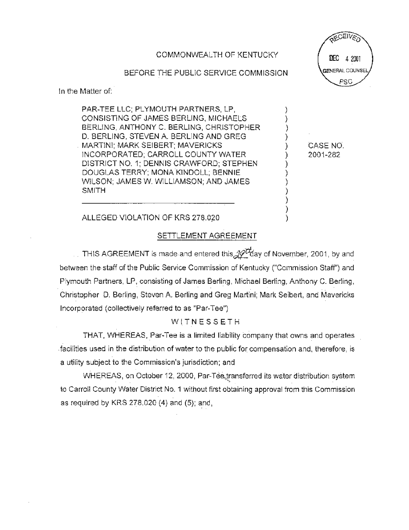COMMONWEALTH OF KENTUCKY

BEFORE THE PUBLIC SERVICE COMMISSION

In the Matter of:

PAR-TEE LLC; PLYMOUTH PARTNERS, LP. CONSISTING OF JAMES BERLING, MICHAELS BERLING, ANTHONY C. BERLING, CHRISTOPHER D. BERLING, STEVEN A. BERLING AND GREG MARTINI: MARK SEIBERT: MAVERICKS INCORPORATED; CARROLL COUNTY WATER DISTRICT NO. 1: DENNIS CRAWFORD: STEPHEN DOUGLAS TERRY; MONA KINDOLL; BENNIE WILSON: JAMES W. WILLIAMSON: AND JAMES **SMITH** 

CEIL DEC 4 2001 **SENERAL COUNSE** PSC

CASE NO. 2001-282

#### ALLEGED VIOLATION OF KRS 278.020

#### SETTLEMENT AGREEMENT

THIS AGREEMENT is made and entered this 20<sup>th</sup>day of November, 2001, by and between the staff of the Public Service Commission of Kentucky ("Commission Staff") and Plymouth Partners, LP, consisting of James Berling, Michael Berling, Anthony C. Berling, Christopher D. Berling, Steven A. Berling and Greg Martini; Mark Seibert, and Mavericks Incorporated (collectively referred to as "Par-Tee")

#### WITNESSETH

THAT, WHEREAS, Par-Tee is a limited liability company that owns and operates facilities used in the distribution of water to the public for compensation and, therefore, is a utility subject to the Commission's jurisdiction; and

WHEREAS, on October 12, 2000, Par-Tee transferred its water distribution system to Carroll County Water District No. 1 without first obtaining approval from this Commission as required by KRS 278.020 (4) and (5); and,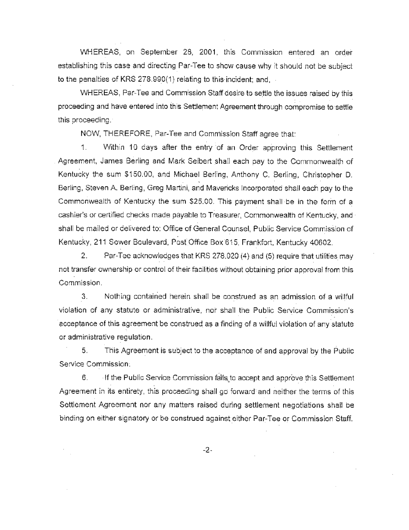WHEREAS, on September 28, 2001, this Commission entered an order establishing this case and directing Par-Tee to show cause why it should not be subject to the penalties of KRS 278.990(1) relating to this incident; and,

WHEREAS, Par-Tee and Commission Staff desire to settle the issues raised by this proceeding and have entered into this Settlement Agreement through compromise to settle this proceeding.

NOW, THEREFORE, Par-Tee and Commission Staff agree that:

Within 10 days after the entry of an Order approving this Settlement 1. Agreement, James Berling and Mark Seibert shall each pay to the Commonwealth of Kentucky the sum \$150.00, and Michael Berling, Anthony C. Berling, Christopher D. Berling, Steven A. Berling, Greg Martini, and Mavericks Incorporated shall each pay to the Commonwealth of Kentucky the sum \$25.00. This payment shall be in the form of a cashier's or certified checks made payable to Treasurer, Commonwealth of Kentucky, and shall be mailed or delivered to: Office of General Counsel, Public Service Commission of Kentucky, 211 Sower Boulevard, Post Office Box 615, Frankfort, Kentucky 40602,

Par-Tee acknowledges that KRS 278.020 (4) and (5) require that utilities may  $2<sub>1</sub>$ not transfer ownership or control of their facilities without obtaining prior approval from this Commission.

3. Nothing contained herein shall be construed as an admission of a willful violation of any statute or administrative, nor shall the Public Service Commission's acceptance of this agreement be construed as a finding of a willful violation of any statute or administrative regulation.

5. This Agreement is subject to the acceptance of and approval by the Public Service Commission.

If the Public Service Commission fails to accept and approve this Settlement 6. Agreement in its entirety, this proceeding shall go forward and neither the terms of this Settlement Agreement nor any matters raised during settlement negotiations shall be binding on either signatory or be construed against either Par-Tee or Commission Staff.

 $-2-$